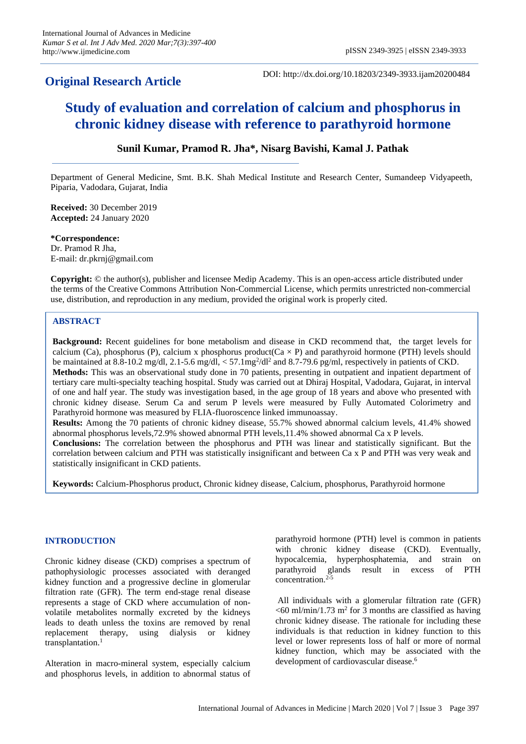## **Original Research Article**

DOI: http://dx.doi.org/10.18203/2349-3933.ijam20200484

# **Study of evaluation and correlation of calcium and phosphorus in chronic kidney disease with reference to parathyroid hormone**

## **Sunil Kumar, Pramod R. Jha\*, Nisarg Bavishi, Kamal J. Pathak**

Department of General Medicine, Smt. B.K. Shah Medical Institute and Research Center, Sumandeep Vidyapeeth, Piparia, Vadodara, Gujarat, India

**Received:** 30 December 2019 **Accepted:** 24 January 2020

**\*Correspondence:** Dr. Pramod R Jha, E-mail: dr.pkrnj@gmail.com

**Copyright:** © the author(s), publisher and licensee Medip Academy. This is an open-access article distributed under the terms of the Creative Commons Attribution Non-Commercial License, which permits unrestricted non-commercial use, distribution, and reproduction in any medium, provided the original work is properly cited.

## **ABSTRACT**

**Background:** Recent guidelines for bone metabolism and disease in CKD recommend that, the target levels for calcium (Ca), phosphorus (P), calcium x phosphorus product(Ca  $\times$  P) and parathyroid hormone (PTH) levels should be maintained at 8.8-10.2 mg/dl, 2.1-5.6 mg/dl,  $<$  57.1mg<sup>2</sup>/dl<sup>2</sup> and 8.7-79.6 pg/ml, respectively in patients of CKD. **Methods:** This was an observational study done in 70 patients, presenting in outpatient and inpatient department of tertiary care multi-specialty teaching hospital. Study was carried out at Dhiraj Hospital, Vadodara, Gujarat, in interval of one and half year. The study was investigation based, in the age group of 18 years and above who presented with chronic kidney disease. Serum Ca and serum P levels were measured by Fully Automated Colorimetry and Parathyroid hormone was measured by FLIA-fluoroscence linked immunoassay.

**Results:** Among the 70 patients of chronic kidney disease, 55.7% showed abnormal calcium levels, 41.4% showed abnormal phosphorus levels,72.9% showed abnormal PTH levels,11.4% showed abnormal Ca x P levels.

**Conclusions:** The correlation between the phosphorus and PTH was linear and statistically significant. But the correlation between calcium and PTH was statistically insignificant and between Ca x P and PTH was very weak and statistically insignificant in CKD patients.

**Keywords:** Calcium-Phosphorus product, Chronic kidney disease, Calcium, phosphorus, Parathyroid hormone

## **INTRODUCTION**

Chronic kidney disease (CKD) comprises a spectrum of pathophysiologic processes associated with deranged kidney function and a progressive decline in glomerular filtration rate (GFR). The term end-stage renal disease represents a stage of CKD where accumulation of nonvolatile metabolites normally excreted by the kidneys leads to death unless the toxins are removed by renal replacement therapy, using dialysis or kidney transplantation.<sup>1</sup>

Alteration in macro-mineral system, especially calcium and phosphorus levels, in addition to abnormal status of parathyroid hormone (PTH) level is common in patients with chronic kidney disease (CKD). Eventually, hypocalcemia, hyperphosphatemia, and strain on parathyroid glands result in excess of PTH concentration.<sup>2-5</sup>

All individuals with a glomerular filtration rate (GFR)  $<$  60 ml/min/1.73 m<sup>2</sup> for 3 months are classified as having chronic kidney disease. The rationale for including these individuals is that reduction in kidney function to this level or lower represents loss of half or more of normal kidney function, which may be associated with the development of cardiovascular disease.<sup>6</sup>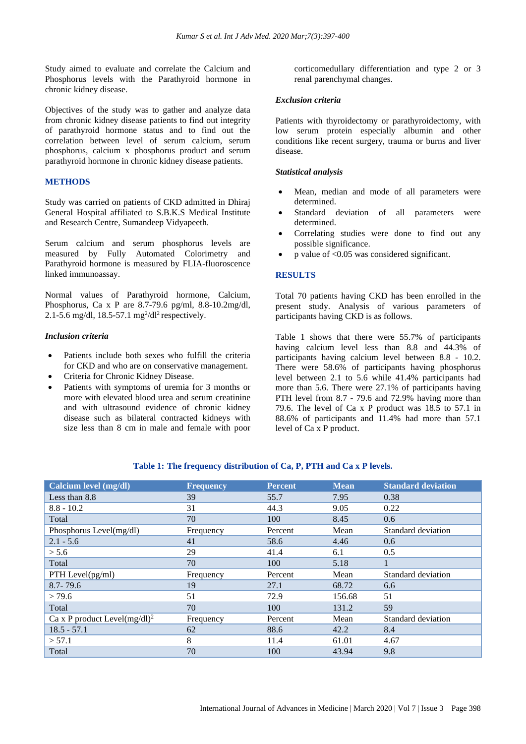Study aimed to evaluate and correlate the Calcium and Phosphorus levels with the Parathyroid hormone in chronic kidney disease.

Objectives of the study was to gather and analyze data from chronic kidney disease patients to find out integrity of parathyroid hormone status and to find out the correlation between level of serum calcium, serum phosphorus, calcium x phosphorus product and serum parathyroid hormone in chronic kidney disease patients.

## **METHODS**

Study was carried on patients of CKD admitted in Dhiraj General Hospital affiliated to S.B.K.S Medical Institute and Research Centre, Sumandeep Vidyapeeth.

Serum calcium and serum phosphorus levels are measured by Fully Automated Colorimetry and Parathyroid hormone is measured by FLIA-fluoroscence linked immunoassay.

Normal values of Parathyroid hormone, Calcium, Phosphorus, Ca x P are 8.7-79.6 pg/ml, 8.8-10.2mg/dl, 2.1-5.6 mg/dl, 18.5-57.1 mg<sup>2</sup>/dl<sup>2</sup> respectively.

## *Inclusion criteria*

- Patients include both sexes who fulfill the criteria for CKD and who are on conservative management.
- Criteria for Chronic Kidney Disease.
- Patients with symptoms of uremia for 3 months or more with elevated blood urea and serum creatinine and with ultrasound evidence of chronic kidney disease such as bilateral contracted kidneys with size less than 8 cm in male and female with poor

corticomedullary differentiation and type 2 or 3 renal parenchymal changes.

#### *Exclusion criteria*

Patients with thyroidectomy or parathyroidectomy, with low serum protein especially albumin and other conditions like recent surgery, trauma or burns and liver disease.

## *Statistical analysis*

- Mean, median and mode of all parameters were determined.
- Standard deviation of all parameters were determined.
- Correlating studies were done to find out any possible significance.
- p value of <0.05 was considered significant.

#### **RESULTS**

Total 70 patients having CKD has been enrolled in the present study. Analysis of various parameters of participants having CKD is as follows.

Table 1 shows that there were 55.7% of participants having calcium level less than 8.8 and 44.3% of participants having calcium level between 8.8 - 10.2. There were 58.6% of participants having phosphorus level between 2.1 to 5.6 while 41.4% participants had more than 5.6. There were 27.1% of participants having PTH level from 8.7 - 79.6 and 72.9% having more than 79.6. The level of Ca x P product was 18.5 to 57.1 in 88.6% of participants and 11.4% had more than 57.1 level of Ca x P product.

| Calcium level (mg/dl)                    | <b>Frequency</b> | <b>Percent</b> | <b>Mean</b> | <b>Standard deviation</b> |
|------------------------------------------|------------------|----------------|-------------|---------------------------|
| Less than $8.8$                          | 39               | 55.7           | 7.95        | 0.38                      |
| $8.8 - 10.2$                             | 31               | 44.3           | 9.05        | 0.22                      |
| Total                                    | 70               | 100            | 8.45        | 0.6                       |
| Phosphorus Level(mg/dl)                  | Frequency        | Percent        | Mean        | Standard deviation        |
| $2.1 - 5.6$                              | 41               | 58.6           | 4.46        | 0.6                       |
| > 5.6                                    | 29               | 41.4           | 6.1         | 0.5                       |
| Total                                    | 70               | 100            | 5.18        |                           |
| PTH Level $(pg/ml)$                      | Frequency        | Percent        | Mean        | Standard deviation        |
| $8.7 - 79.6$                             | 19               | 27.1           | 68.72       | 6.6                       |
| > 79.6                                   | 51               | 72.9           | 156.68      | 51                        |
| Total                                    | 70               | 100            | 131.2       | 59                        |
| Ca x P product Level(mg/dl) <sup>2</sup> | Frequency        | Percent        | Mean        | Standard deviation        |
| $18.5 - 57.1$                            | 62               | 88.6           | 42.2        | 8.4                       |
| > 57.1                                   | 8                | 11.4           | 61.01       | 4.67                      |
| Total                                    | 70               | 100            | 43.94       | 9.8                       |

## **Table 1: The frequency distribution of Ca, P, PTH and Ca x P levels.**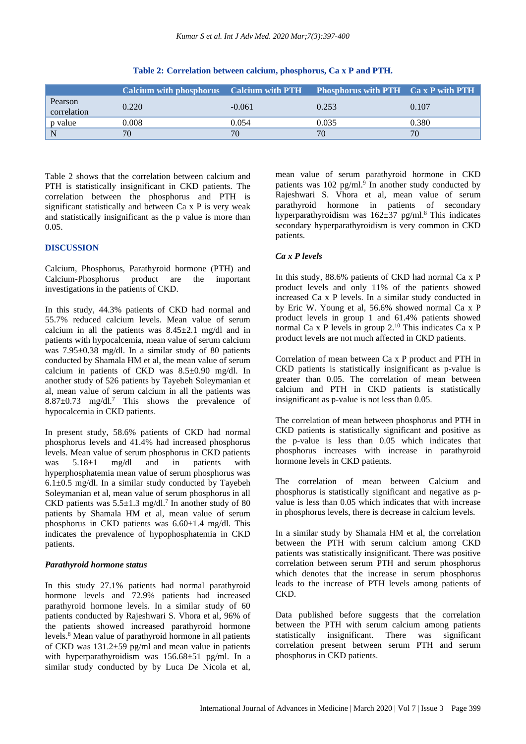|                        | <b>Calcium with phosphorus</b> Calcium with PTH Phosphorus with PTH Ca x P with PTH |          |       |       |
|------------------------|-------------------------------------------------------------------------------------|----------|-------|-------|
| Pearson<br>correlation | 0.220                                                                               | $-0.061$ | 0.253 | 0.107 |
| p value                | 0.008                                                                               | 0.054    | 0.035 | 0.380 |
| N                      | 70                                                                                  | 70       | 70    | 70    |

**Table 2: Correlation between calcium, phosphorus, Ca x P and PTH.**

Table 2 shows that the correlation between calcium and PTH is statistically insignificant in CKD patients. The correlation between the phosphorus and PTH is significant statistically and between Ca x P is very weak and statistically insignificant as the p value is more than 0.05.

## **DISCUSSION**

Calcium, Phosphorus, Parathyroid hormone (PTH) and Calcium-Phosphorus product are the important investigations in the patients of CKD.

In this study, 44.3% patients of CKD had normal and 55.7% reduced calcium levels. Mean value of serum calcium in all the patients was  $8.45\pm2.1$  mg/dl and in patients with hypocalcemia, mean value of serum calcium was 7.95±0.38 mg/dl. In a similar study of 80 patients conducted by Shamala HM et al, the mean value of serum calcium in patients of CKD was 8.5±0.90 mg/dl. In another study of 526 patients by Tayebeh Soleymanian et al, mean value of serum calcium in all the patients was  $8.87\pm0.73$  mg/dl.<sup>7</sup> This shows the prevalence of hypocalcemia in CKD patients.

In present study, 58.6% patients of CKD had normal phosphorus levels and 41.4% had increased phosphorus levels. Mean value of serum phosphorus in CKD patients was 5.18±1 mg/dl and in patients with hyperphosphatemia mean value of serum phosphorus was  $6.1\pm0.5$  mg/dl. In a similar study conducted by Tayebeh Soleymanian et al, mean value of serum phosphorus in all CKD patients was  $5.5 \pm 1.3$  mg/dl.<sup>7</sup> In another study of 80 patients by Shamala HM et al, mean value of serum phosphorus in CKD patients was  $6.60\pm1.4$  mg/dl. This indicates the prevalence of hypophosphatemia in CKD patients.

## *Parathyroid hormone status*

In this study 27.1% patients had normal parathyroid hormone levels and 72.9% patients had increased parathyroid hormone levels. In a similar study of 60 patients conducted by Rajeshwari S. Vhora et al, 96% of the patients showed increased parathyroid hormone levels.<sup>8</sup> Mean value of parathyroid hormone in all patients of CKD was 131.2±59 pg/ml and mean value in patients with hyperparathyroidism was 156.68±51 pg/ml. In a similar study conducted by by Luca De Nicola et al, mean value of serum parathyroid hormone in CKD patients was 102 pg/ml.<sup>9</sup> In another study conducted by Rajeshwari S. Vhora et al, mean value of serum parathyroid hormone in patients of secondary hyperparathyroidism was  $162\pm37$  pg/ml.<sup>8</sup> This indicates secondary hyperparathyroidism is very common in CKD patients.

## *Ca x P levels*

In this study, 88.6% patients of CKD had normal Ca x P product levels and only 11% of the patients showed increased Ca x P levels. In a similar study conducted in by Eric W. Young et al, 56.6% showed normal Ca x P product levels in group 1 and 61.4% patients showed normal Ca x P levels in group 2.<sup>10</sup> This indicates Ca x P product levels are not much affected in CKD patients.

Correlation of mean between Ca x P product and PTH in CKD patients is statistically insignificant as p-value is greater than 0.05. The correlation of mean between calcium and PTH in CKD patients is statistically insignificant as p-value is not less than 0.05.

The correlation of mean between phosphorus and PTH in CKD patients is statistically significant and positive as the p-value is less than 0.05 which indicates that phosphorus increases with increase in parathyroid hormone levels in CKD patients.

The correlation of mean between Calcium and phosphorus is statistically significant and negative as pvalue is less than 0.05 which indicates that with increase in phosphorus levels, there is decrease in calcium levels.

In a similar study by Shamala HM et al, the correlation between the PTH with serum calcium among CKD patients was statistically insignificant. There was positive correlation between serum PTH and serum phosphorus which denotes that the increase in serum phosphorus leads to the increase of PTH levels among patients of CKD.

Data published before suggests that the correlation between the PTH with serum calcium among patients statistically insignificant. There was significant correlation present between serum PTH and serum phosphorus in CKD patients.